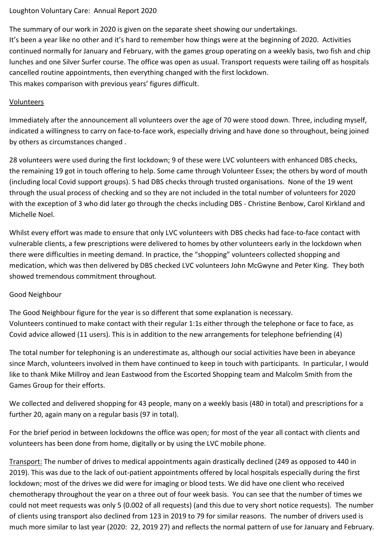## Loughton Voluntary Care: Annual Report 2020

The summary of our work in 2020 is given on the separate sheet showing our undertakings. It's been a year like no other and it's hard to remember how things were at the beginning of 2020. Activities continued normally for January and February, with the games group operating on a weekly basis, two fish and chip lunches and one Silver Surfer course. The office was open as usual. Transport requests were tailing off as hospitals cancelled routine appointments, then everything changed with the first lockdown. This makes comparison with previous years' figures difficult.

## Volunteers

Immediately after the announcement all volunteers over the age of 70 were stood down. Three, including myself, indicated a willingness to carry on face-to-face work, especially driving and have done so throughout, being joined by others as circumstances changed .

28 volunteers were used during the first lockdown; 9 of these were LVC volunteers with enhanced DBS checks, the remaining 19 got in touch offering to help. Some came through Volunteer Essex; the others by word of mouth (including local Covid support groups). 5 had DBS checks through trusted organisations. None of the 19 went through the usual process of checking and so they are not included in the total number of volunteers for 2020 with the exception of 3 who did later go through the checks including DBS - Christine Benbow, Carol Kirkland and Michelle Noel.

Whilst every effort was made to ensure that only LVC volunteers with DBS checks had face-to-face contact with vulnerable clients, a few prescriptions were delivered to homes by other volunteers early in the lockdown when there were difficulties in meeting demand. In practice, the "shopping" volunteers collected shopping and medication, which was then delivered by DBS checked LVC volunteers John McGwyne and Peter King. They both showed tremendous commitment throughout.

## Good Neighbour

The Good Neighbour figure for the year is so different that some explanation is necessary. Volunteers continued to make contact with their regular 1:1s either through the telephone or face to face, as Covid advice allowed (11 users). This is in addition to the new arrangements for telephone befriending (4)

The total number for telephoning is an underestimate as, although our social activities have been in abeyance since March, volunteers involved in them have continued to keep in touch with participants. In particular, I would like to thank Mike Millroy and Jean Eastwood from the Escorted Shopping team and Malcolm Smith from the Games Group for their efforts.

We collected and delivered shopping for 43 people, many on a weekly basis (480 in total) and prescriptions for a further 20, again many on a regular basis (97 in total).

For the brief period in between lockdowns the office was open; for most of the year all contact with clients and volunteers has been done from home, digitally or by using the LVC mobile phone.

Transport: The number of drives to medical appointments again drastically declined (249 as opposed to 440 in 2019). This was due to the lack of out-patient appointments offered by local hospitals especially during the first lockdown; most of the drives we did were for imaging or blood tests. We did have one client who received chemotherapy throughout the year on a three out of four week basis. You can see that the number of times we could not meet requests was only 5 (0.002 of all requests) (and this due to very short notice requests). The number of clients using transport also declined from 123 in 2019 to 79 for similar reasons. The number of drivers used is much more similar to last year (2020: 22, 2019 27) and reflects the normal pattern of use for January and February.